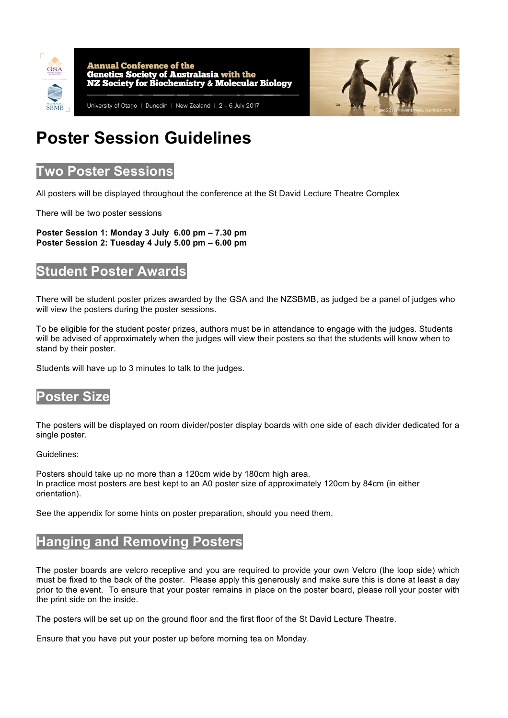

**Annual Conference of the** Genetics Society of Australasia with the **NZ Society for Biochemistry & Molecular Biology** 



University of Otago | Dunedin | New Zealand | 2 - 6 July 2017

# **Poster Session Guidelines**

## **Two Poster Sessions**

All posters will be displayed throughout the conference at the St David Lecture Theatre Complex

There will be two poster sessions

**Poster Session 1: Monday 3 July 6.00 pm – 7.30 pm Poster Session 2: Tuesday 4 July 5.00 pm – 6.00 pm**

### **Student Poster Awards**

There will be student poster prizes awarded by the GSA and the NZSBMB, as judged be a panel of judges who will view the posters during the poster sessions.

To be eligible for the student poster prizes, authors must be in attendance to engage with the judges. Students will be advised of approximately when the judges will view their posters so that the students will know when to stand by their poster.

Students will have up to 3 minutes to talk to the judges.

### **Poster Size**

The posters will be displayed on room divider/poster display boards with one side of each divider dedicated for a single poster.

#### Guidelines:

Posters should take up no more than a 120cm wide by 180cm high area. In practice most posters are best kept to an A0 poster size of approximately 120cm by 84cm (in either orientation).

See the appendix for some hints on poster preparation, should you need them.

# **Hanging and Removing Posters**

The poster boards are velcro receptive and you are required to provide your own Velcro (the loop side) which must be fixed to the back of the poster. Please apply this generously and make sure this is done at least a day prior to the event. To ensure that your poster remains in place on the poster board, please roll your poster with the print side on the inside.

The posters will be set up on the ground floor and the first floor of the St David Lecture Theatre.

Ensure that you have put your poster up before morning tea on Monday.